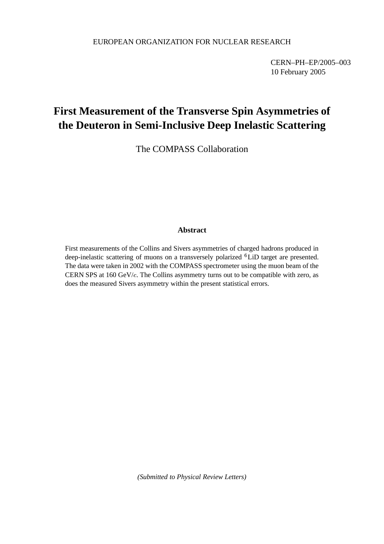CERN–PH–EP/2005–003 10 February 2005

# **First Measurement of the Transverse Spin Asymmetries of the Deuteron in Semi-Inclusive Deep Inelastic Scattering**

The COMPASS Collaboration

## **Abstract**

First measurements of the Collins and Sivers asymmetries of charged hadrons produced in deep-inelastic scattering of muons on a transversely polarized <sup>6</sup>LiD target are presented. The data were taken in 2002 with the COMPASS spectrometer using the muon beam of the CERN SPS at  $160 \text{ GeV}/c$ . The Collins asymmetry turns out to be compatible with zero, as does the measured Sivers asymmetry within the present statistical errors.

*(Submitted to Physical Review Letters)*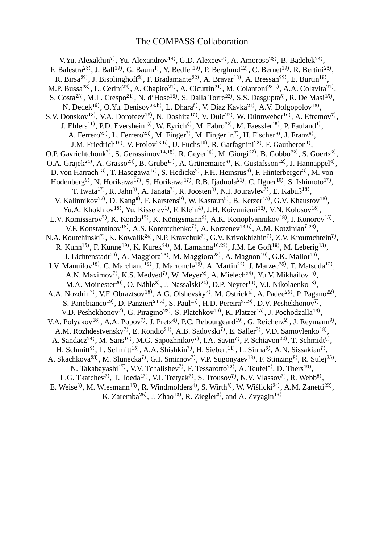## The COMPASS Collaboration

V.Yu. Alexakhin<sup>7)</sup>, Yu. Alexandrov<sup>14)</sup>, G.D. Alexeev<sup>7)</sup>, A. Amoroso<sup>23)</sup>, B. B  $^{\prime}$ , B. Badełek<sup>24)</sup>, F. Balestra $^{23)}$ , J. Ba  $^{0}$ , J. Ball $^{19)}$ , G. B  $(0, 0, Ba$ um $(1, 0, 0, 0)$ , P. Bedfer $(1, 0, 0)$ <sup>)</sup>, P. Berglund<sup>12)</sup>, C. B  $, C.$  Bernet<sup>19)</sup>, R. B  $, R$ . Bertini<sup>23</sup>,  $\left( \begin{array}{c} 0 \ 0 \end{array} \right)$ R. Birsa $^{22)}$ , J. Bi <sup>)</sup>, J. Bisplinghoff<sup>3)</sup>, F. Bradamante<sup>22)</sup>, A. B <sup>)</sup>, A. Bravar<sup>13)</sup>, A. B <sup> $($ </sup>, A. Bressan<sup>22 $)$ </sup>, E. B  $, E.$  Burtin<sup>19)</sup>,  $\, , \,$ M.P.  $Bussa^{23}$ , L. C <sup>)</sup>, L. Cerini<sup>22)</sup>, A. C <sup>)</sup>, A. Chapiro<sup>21</sup><sup>)</sup>, A. Cicuttin<sup>21</sup><sup>)</sup>, M. Colantoni<sup>23,a</sup><sup>)</sup>, A.A. <sup>)</sup>, A.A. Colavita<sup>21</sup><sup>)</sup>,  $S. \text{Costa}^{23}$ , M.L <sup>)</sup>, M.L. Crespo<sup>21)</sup>, N. d'Hose<sup>19)</sup>, S. D  $, S.$  Dalla Torre<sup>22)</sup>, S.S.  $($ , S.S. Dasgupta $(5)$ , R. De Masi $^{15)}$ , N. Dedek $^{16}$ , O.Yu. Denisov $^{23,b)}$ , L. Dh <sup>)</sup>, L. Dhara<sup>6)</sup>, V. Diaz Kavka<sup>21)</sup>, A.V. Dolgopolov<sup>18)</sup>,  $\left( \begin{array}{c} 0 \ 0 \end{array} \right)$ S.V. Donskov<sup>18)</sup>, V.A.  $)$ , V.A. Dorofeev $^{18)}$ , N. D  $($ , N. Doshita $^{17}$ , V. Duic $^{22}$ , W. I <sup>)</sup>, W. Dünnweber<sup>16)</sup>, A. Efremov<sup>7)</sup>, J.  $Ehlers$ <sup>11)</sup>,  $P.E$ <sup>)</sup>, P.D. Eversheim<sup>3)</sup>, W. Eyrich<sup>8)</sup>, M. Fabro<sup>22)</sup>, M. F  $)$ , M. Faessler<sup>16)</sup>, P. Fauland<sup>1)</sup>, A. Ferrero $^{23)}$ , L. F  $^{\circ}$ , L. Ferrero<sup>23)</sup>, M. F <sup>)</sup>, M. Finger<sup>7)</sup>, M. Finger jr.<sup>7)</sup>, H. Fischer<sup>9)</sup>, J. Franz<sup>9)</sup>, J.M. Friedrich $^{15)}$ , V. Frolov $^{23,\mathrm{b)}}$ , U. Fu  $,$  U. Fuchs $^{10}$ , R. G <sup>)</sup>, R. Garfagnini<sup>23)</sup>, F. G.  $)$ , F. Gautheron<sup>1</sup>, O.P. Gavrichtchouk<sup>7)</sup>, S. Gerassimov<sup>14,15)</sup>, R. Geyer<sup>16)</sup>, M. Giorgi<sup>22)</sup>, B. G  $, B.$  Gobbo<sup>22)</sup>, S. G  $)$ , S. Goertz<sup>2)</sup>, O.A. Grajek $^{24)}$ , A. Grasso $^{23)}$ , B. G <sup>)</sup>, B. Grube<sup>15)</sup>, A. Grünemaier<sup>9)</sup>, K. Gustafsson<sup>12)</sup>, J. Ha <sup>)</sup>, J. Hannappel<sup>4)</sup>, D. von Harrach<sup>13)</sup>, T. H <sup>)</sup>, T. Hasegawa<sup>17</sup>), S. Hedicke<sup>9</sup><sup>)</sup>, F.H. Heinsius<sup>9</sup><sup>)</sup>, F. Hinterberger<sup>3</sup><sup>)</sup>, M. von Hodenberg<sup>9)</sup>, N. Horikawa<sup>17)</sup>, S. Horikawa<sup>17)</sup>, R.B. Ijaduola<sup>21)</sup>, C. Ilgner<sup>16)</sup>, S. Ishimoto<sup>17)</sup>, T. Iwata<sup>17)</sup>, R. Jahn<sup>3)</sup>, A. Janata<sup>7)</sup>, R. Joosten<sup>3)</sup>, N.I. Jouravlev<sup>7)</sup>, E. Kabuß<sup>13)</sup>,  $\left( \begin{array}{c} 0 \ 0 \end{array} \right)$ V. Kalinnikov $^{22}$ , D. K <sup>)</sup>, D. Kang<sup>9)</sup>, F. Karstens<sup>9)</sup>, W. Kastaun<sup>9)</sup>, B. Ketzer<sup>15)</sup>, G.V. Khaustov<sup>18)</sup>,  $\left( \begin{array}{c} 0 \ 0 \end{array} \right)$ Yu.A. Khokhlov<sup>18)</sup>, Yu. l <sup>)</sup>, Yu. Kisselev<sup>1</sup>, F. Klein<sup>4</sup>, J.H. Koivuniemi<sup>12</sup>, V.N.  $^{0}$ , V.N. Kolosov $^{18}$ <sup>)</sup>, , E.V. Komissarov<sup>7)</sup>, K. Kondo<sup>17)</sup>, K. Königsmann<sup>9)</sup>, A.K. Konoplyannikov<sup>18)</sup>, I. Ko  $)$ , I. Konorov<sup>15)</sup>, V.F. Konstantinov<sup>18)</sup>, A.S. <sup>)</sup>, A.S. Korentchenko<sup>7)</sup>, A. Korzenev<sup>13,b)</sup>, A.M.  $($ , A.M. Kotzinian<sup>7,23</sup>),  $\left( \begin{array}{c} 0 \ 0 \end{array} \right)$ N.A. Koutchinski<sup>7)</sup>, K. Kowalik<sup>24)</sup>, N.P. Kravchuk<sup>7)</sup>, G.V. Krivokhizhin<sup>7)</sup>, Z.V. Kroumchtein<sup>7)</sup>, R. Kuhn $^{15)}$ , F. Kunne $^{19)}$ , K. K  $^{(0)}$ , K. Kurek<sup>24</sup>, M. Lamanna<sup>10,22</sup>, J.M.  $^{0},$  J.M. Le Goff $^{19)}$ , M. L  $)$ , M. Leberig<sup>13)</sup>,  $\left( \begin{array}{c} 0 \ 0 \end{array} \right)$ J. Lichtenstadt $^{20)}$ , A. M  $^{0}$ , A. Maggiora $^{23)}$ , M. N  $)$ , M. Maggiora<sup>23)</sup>, A. M <sup>)</sup>, A. Magnon<sup>19)</sup>, G.K.  $^{0}$ , G.K. Mallot $^{10)}$ ,  $\left( \begin{array}{c} 0 \ 0 \end{array} \right)$ I.V. Manuilov<sup>18)</sup>, C. M  $, C.$  Marchand<sup>19)</sup>, J. M <sup>)</sup>, J. Marroncle<sup>19)</sup>, A. M  $^{)}$ , A. Martin<sup>22)</sup>, J. M  $),$  J. Marzec<sup>25)</sup>, T. Matsuda<sup>17)</sup>, A.N. Maximov<sup>7)</sup>, K.S. Medved<sup>7)</sup>, W. Meyer<sup>2)</sup>, A. Mielech<sup>24)</sup>, Yu.V. Mikhailov<sup>18)</sup>,  $\left( \begin{array}{c} 0 \ 0 \end{array} \right)$ M.A. Moinester $^{20}$ , O. N  $^{0}$ , O. Nähle $^{3)}$ , J. Nassalski $^{24)}$ , D.P. Neyret $^{19)}$ , V.I. I <sup>)</sup>, V.I. Nikolaenko<sup>18)</sup>,  $\mathcal{C}, \mathcal{C}$ A.A. Nozdrin<sup>7)</sup>, V.F. Obraztsov<sup>18)</sup>, A.G. <sup>)</sup>, A.G. Olshevsky<sup>7)</sup>, M. Ostrick<sup>4)</sup>, A. Padee<sup>25)</sup>, P. Pagano<sup>22)</sup>,  $\left( \begin{array}{c} 0 \ 0 \end{array} \right)$ S. Panebianco<sup>19)</sup>, D. Panzieri<sup>23,a)</sup>, S. Paul<sup>15)</sup>, H.D. Pereira<sup>9,19)</sup>, D.V. Peshekhonov<sup>7)</sup>, V.D. Peshekhonov<sup>7)</sup>, G. Piragino<sup>23)</sup>, S. Platchkov<sup>19)</sup>, K. Platzer<sup>15)</sup>, J <sup>)</sup>, S. Platchkov<sup>19)</sup>, K. P <sup>)</sup>, K. Platzer<sup>15)</sup>, J. Pochodzalla<sup>13)</sup>,  $\left( \begin{array}{c} 0 \ 0 \end{array} \right)$ V.A. Polyakov<sup>18)</sup>, A.A. <sup>)</sup>, A.A. Popov<sup>7)</sup>, J. Pretz<sup>4)</sup>, P.C. Rebourgeard<sup>19)</sup>, G. R <sup>)</sup>, G. Reicherz<sup>2)</sup>, J. Reymann<sup>9)</sup>, A.M. Rozhdestvensky<sup>7)</sup>, E. Rondio<sup>24)</sup>, A.B. Sadovski<sup>7)</sup>, E. Saller<sup>7)</sup>, V.D. Samoylenko<sup>18)</sup>,  $\left( \begin{array}{c} 0 \ 0 \end{array} \right)$ A. Sandacz<sup>24)</sup>, M. Sans<sup>16)</sup>, M.G. Sapozhnikov<sup>7)</sup>, I.A. Savin<sup>7</sup>), P. Schiavon<sup>22)</sup>, T. So  $,$  T. Schmidt $\mathfrak{h}$ , H. Schmitt $^{9}$ , L. Schmitt $^{15}$ , A.A. Shishkin<sup>7</sup>, H. Siebert $^{11}$ , L. S <sup>)</sup>, L. Sinha<sup>6)</sup>, A.N. Sissakian<sup>7)</sup>, A. Skachkova<sup>23)</sup>, M. S <sup>)</sup>, M. Slunecka<sup>7</sup>, G.I. Smirnov<sup>7)</sup>, V.P. Sugonyaev<sup>18</sup>, F. St  $)$ , F. Stinzing<sup>8)</sup>, R. Sulej<sup>25)</sup>, N. Takabayashi<sup>17)</sup>, V.V. Tchalishev<sup>7)</sup>, F. Tessarotto<sup>22)</sup>, A. T  $),$  A. Teufel<sup>8)</sup>, D. Thers<sup>19)</sup>,  $\left( \begin{array}{c} 0 \ 0 \end{array} \right)$ L.G. Tkatchev<sup>7)</sup>, T. Toeda<sup>17)</sup>, V.I. Tretyak<sup>7)</sup>, S. Trousov<sup>7)</sup>, N.V. Vlassov<sup>7)</sup>, R. Webb<sup>8)</sup>, E. Weise<sup>3)</sup>, M. Wiesmann<sup>15)</sup>, R. Windmolders<sup>4)</sup>, S. Wirth<sup>8)</sup>, W. Wiślicki<sup>24)</sup>, A.M. Zanetti<sup>22)</sup>,  $\left( \begin{array}{cc} 0 & 0 \ 0 & 0 & 0 \end{array} \right)$ K. Zaremba $^{25)}$ , J. Zhao $^{13)}$ , R. Z <sup>)</sup>, R. Ziegler<sup>3)</sup>, and A. Zvyagin<sup>16)</sup>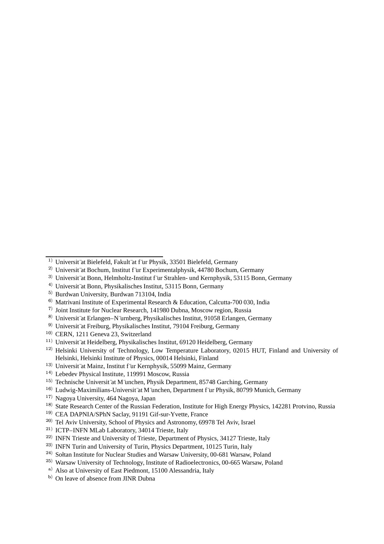- <sup>3)</sup> Universit¨at Bonn, Helmholtz-Institut f¨ur Strahlen- und Kernphysik, 53115 Bonn, Germany
- <sup>4)</sup> Universit¨at Bonn, Physikalisches Institut, 53115 Bonn, Germany
- <sup>5)</sup> Burdwan University, Burdwan 713104, India
- $^{6)}$  Matrivani Institute of Experimental Research & Education, Calcutta-700 030, India
- $(7)$  Joint Institute for Nuclear Research, 141980 Dubna, Moscow region, Russia
- <sup>8)</sup> Universit at Erlangen–N¨urnberg, Physikalisches Institut, 91058 Erlangen, Germany
- <sup>9)</sup> Universit¨at Freiburg, Physikalisches Institut, 79104 Freiburg, Germany
- <sup>10)</sup> CERN, 1211 Geneva 23, Switzerland
- <sup>11)</sup> Universit at Heidelberg, Physikalisches Institut, 69120 Heidelberg, Germany
- <sup>12)</sup> Helsinki University of Technology, Low Temperature Laboratory, 02015 HUT, Finland and University of Helsinki, Helsinki Institute of Physics, 00014 Helsinki, Finland
- <sup>13)</sup> Universit at Mainz, Institut f ur Kernphysik, 55099 Mainz, Germany
- <sup>14)</sup> Lebedev Physical Institute, 119991 Moscow, Russia
- <sup>15)</sup> Technische Universit at M unchen, Physik Department, 85748 Garching, Germany
- <sup>16)</sup> Ludwig-Maximilians-Universit¨at M¨unchen, Department f¨ur Physik, 80799 Munich, Germany
- <sup>17)</sup> Nagoya University, 464 Nagoya, Japan
- <sup>18)</sup> State Research Center of the Russian Federation, Institute for High Energy Physics, 142281 Protvino, Russia
- <sup>19)</sup> CEA DAPNIA/SPhN Saclay, 91191 Gif-sur-Yvette, France
- <sup>20)</sup> Tel Aviv University, School of Physics and Astronomy, 69978 Tel Aviv, Israel
- <sup>21)</sup> ICTP–INFN MLab Laboratory, 34014 Trieste, Italy
- $22)$  INFN Trieste and University of Trieste, Department of Physics, 34127 Trieste, Italy
- <sup>23)</sup> INFN Turin and University of Turin, Physics Department, 10125 Turin, Italy
- <sup>24)</sup> Sołtan Institute for Nuclear Studies and Warsaw University, 00-681 Warsaw, Poland
- <sup>25)</sup> Warsaw University of Technology, Institute of Radioelectronics, 00-665 Warsaw, Poland
- <sup>a)</sup> Also at University of East Piedmont, 15100 Alessandria, Italy
- <sup>b)</sup> On leave of absence from JINR Dubna

<sup>&</sup>lt;sup>1)</sup> Universit at Bielefeld, Fakult at f ur Physik, 33501 Bielefeld, Germany

<sup>&</sup>lt;sup>2)</sup> Universit at Bochum, Institut f ür Experimentalphysik, 44780 Bochum, Germany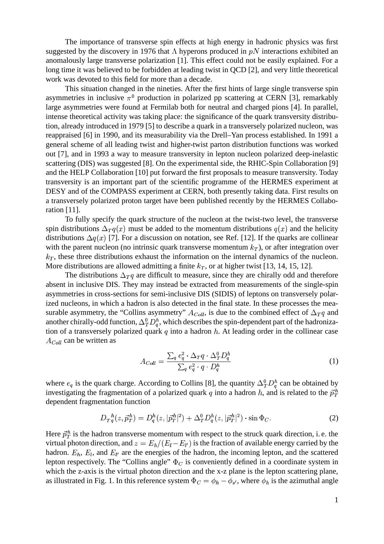The importance of transverse spin effects at high energy in hadronic physics was first suggested by the discovery in 1976 that  $\Lambda$  hyperons produced in  $pN$  interactions exhibited an anomalously large transverse polarization [1]. This effect could not be easily explained. For a long time it was believed to be forbidden at leading twist in QCD [2], and very little theoretical work was devoted to this field for more than a decade.

This situation changed in the nineties. After the first hints of large single transverse spin asymmetries in inclusive  $\pi^0$  production in polarized pp scattering at CERN [3], remarkably large asymmetries were found at Fermilab both for neutral and charged pions [4]. In parallel, intense theoretical activity was taking place: the significance of the quark transversity distribution, already introduced in 1979 [5] to describe a quark in a transversely polarized nucleon, was reappraised [6] in 1990, and its measurability via the Drell–Yan process established. In 1991 a general scheme of all leading twist and higher-twist parton distribution functions was worked out [7], and in 1993 a way to measure transversity in lepton nucleon polarized deep-inelastic scattering (DIS) was suggested [8]. On the experimental side, the RHIC-Spin Collaboration [9] and the HELP Collaboration [10] put forward the first proposals to measure transversity. Today transversity is an important part of the scientific programme of the HERMES experiment at DESY and of the COMPASS experiment at CERN, both presently taking data. First results on a transversely polarized proton target have been published recently by the HERMES Collaboration [11].

To fully specify the quark structure of the nucleon at the twist-two level, the transverse spin distributions  $\Delta_T q(x)$  must be added to the momentum distributions  $q(x)$  and the helicity distributions  $\Delta q(x)$  [7]. For a discussion on notation, see Ref. [12]. If the quarks are collinear with the parent nucleon (no intrinsic quark transverse momentum  $k_T$ ), or after integration over  $k_T$ , these three distributions exhaust the information on the internal dynamics of the nucleon. More distributions are allowed admitting a finite  $k_T$ , or at higher twist [13, 14, 15, 12].

The distributions  $\Delta_{T}q$  are difficult to measure, since they are chirally odd and therefore absent in inclusive DIS. They may instead be extracted from measurements of the single-spin asymmetries in cross-sections for semi-inclusive DIS (SIDIS) of leptons on transversely polarized nucleons, in which a hadron is also detected in the final state. In these processes the measurable asymmetry, the "Collins asymmetry"  $A_{Coll}$ , is due to the combined effect of  $\Delta_T q$  and another chirally-odd function,  $\Delta^0_T D^h_q,$  which describes the spin-dependent part of the hadronization of a transversely polarized quark  $q$  into a hadron  $h$ . At leading order in the collinear case  $A_{Coll}$  can be written as

$$
A_{Coll} = \frac{\sum_{q} e_q^2 \cdot \Delta_T q \cdot \Delta_T^0 D_q^h}{\sum_{q} e_q^2 \cdot q \cdot D_q^h} \tag{1}
$$

where  $e_q$  is the quark charge. According to Collins [8], the quantity  $\Delta_T^0 D_q^h$  can be obtained by investigating the fragmentation of a polarized quark q into a hadron h, and is related to the  $\vec{p}_T^h$ dependent fragmentation function

$$
D_T{}^h_q(z, \vec{p}_T^h) = D^h_q(z, |\vec{p}_T^h|^2) + \Delta^0_T D^h_q(z, |\vec{p}_T^h|^2) \cdot \sin \Phi_C.
$$
 (2)

Here  $\vec{p}_T^h$  is the hadron transverse momentum with respect to the struck quark direction, i.e. the virtual photon direction, and  $z = E_h / (E_l - E_{l'})$  is the fraction of available energy carried by the hadron.  $E_h$ ,  $E_l$ , and  $E_{l'}$  are the energies of the hadron, the incoming lepton, and the scattered lepton respectively. The "Collins angle"  $\Phi_C$  is conveniently defined in a coordinate system in which the z-axis is the virtual photon direction and the x-z plane is the lepton scattering plane, as illustrated in Fig. 1. In this reference system  $\Phi_C = \phi_h - \phi_{s'}$ , where  $\phi_h$  is the azimuthal angle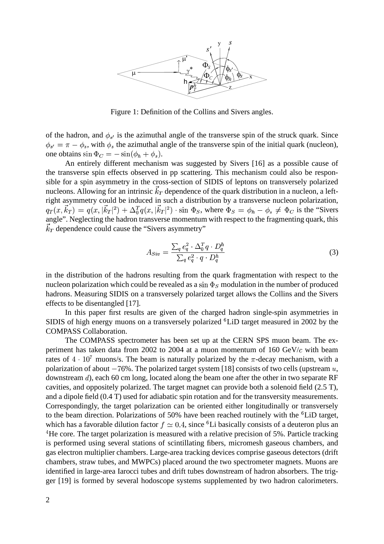

Figure 1: Definition of the Collins and Sivers angles.

of the hadron, and  $\phi_{s'}$  is the azimuthal angle of the transverse spin of the struck quark. Since  $\phi_{s'} = \pi - \phi_s$ , with  $\phi_s$  the azimuthal angle of the transverse spin of the initial quark (nucleon), one obtains  $\sin \Phi_C = -\sin(\phi_h + \phi_s)$ .

An entirely different mechanism was suggested by Sivers [16] as a possible cause of the transverse spin effects observed in pp scattering. This mechanism could also be responsible for a spin asymmetry in the cross-section of SIDIS of leptons on transversely polarized nucleons. Allowing for an intrinsic  $\vec{k}_T$  dependence of the quark distribution in a nucleon, a leftright asymmetry could be induced in such a distribution by a transverse nucleon polarization,  $q_T(x, \vec{k}_T) = q(x, |\vec{k}_T|^2) + \Delta_0^T q(x, |\vec{k}_T|^2) \cdot \sin \Phi_s$ , where  $\Phi_s = \phi_h - \phi_s \neq \Phi_c$  is the "Sivers" angle". Neglecting the hadron transverse momentum with respect to the fragmenting quark, this  $\vec{k}_T$  dependence could cause the "Sivers asymmetry"

$$
A_{Siv} = \frac{\sum_{q} e_q^2 \cdot \Delta_0^T q \cdot D_q^h}{\sum_{q} e_q^2 \cdot q \cdot D_q^h}
$$
(3)

in the distribution of the hadrons resulting from the quark fragmentation with respect to the nucleon polarization which could be revealed as a  $\sin\Phi_S$  modulation in the number of produced hadrons. Measuring SIDIS on a transversely polarized target allows the Collins and the Sivers effects to be disentangled [17].

In this paper first results are given of the charged hadron single-spin asymmetries in SIDIS of high energy muons on a transversely polarized <sup>6</sup>LiD target measured in 2002 by the COMPASS Collaboration.

The COMPASS spectrometer has been set up at the CERN SPS muon beam. The experiment has taken data from 2002 to 2004 at a muon momentum of 160  $GeV/c$  with beam rates of  $4 \cdot 10^7$  muons/  $\pi$  muons/s. The beam is naturally polarized by the  $\pi$ -decay mechanism, with a polarization of about  $-76\%$ . The polarized target system [18] consists of two cells (upstream  $u$ , downstream  $d$ ), each 60 cm long, located along the beam one after the other in two separate RF cavities, and oppositely polarized. The target magnet can provide both a solenoid field (2.5 T), and a dipole field (0.4 T) used for adiabatic spin rotation and for the transversity measurements. Correspondingly, the target polarization can be oriented either longitudinally or transversely to the beam direction. Polarizations of 50% have been reached routinely with the  ${}^{6}$ LiD target, which has a favorable dilution factor  $f \simeq 0.4$ , since <sup>6</sup>Li basically consists of a deuteron plus an  $4$ He core. The target polarization is measured with a relative precision of 5%. Particle tracking is performed using several stations of scintillating fibers, micromesh gaseous chambers, and gas electron multiplier chambers. Large-area tracking devices comprise gaseous detectors (drift chambers, straw tubes, and MWPCs) placed around the two spectrometer magnets. Muons are identified in large-area Iarocci tubes and drift tubes downstream of hadron absorbers. The trigger [19] is formed by several hodoscope systems supplemented by two hadron calorimeters.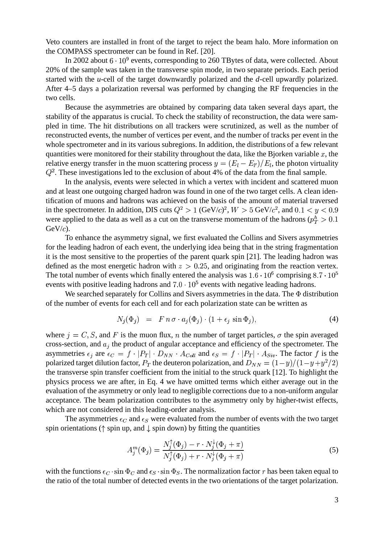Veto counters are installed in front of the target to reject the beam halo. More information on the COMPASS spectrometer can be found in Ref. [20].

In 2002 about  $6 \cdot 10^9$  events, corresponding to 260 TBytes of data, were collected. About 20% of the sample was taken in the transverse spin mode, in two separate periods. Each period started with the *u*-cell of the target downwardly polarized and the *d*-cell upwardly polarized. After 4–5 days a polarization reversal was performed by changing the RF frequencies in the two cells.

Because the asymmetries are obtained by comparing data taken several days apart, the stability of the apparatus is crucial. To check the stability of reconstruction, the data were sampled in time. The hit distributions on all trackers were scrutinized, as well as the number of reconstructed events, the number of vertices per event, and the number of tracks per event in the whole spectrometer and in its various subregions. In addition, the distributions of a few relevant quantities were monitored for their stability throughout the data, like the Bjorken variable  $x$ , the relative energy transfer in the muon scattering process  $y = (E_l - E_{l'})/E_l$ , the photon virtuality  $Q^2$ . These investigations led to the exclusion of about 4% of the data from the final sample.

In the analysis, events were selected in which a vertex with incident and scattered muon and at least one outgoing charged hadron was found in one of the two target cells. A clean identification of muons and hadrons was achieved on the basis of the amount of material traversed in the spectrometer. In addition, DIS cuts  $Q^2 > 1$  (GeV/c)<sup>2</sup>,  $W > 5$  GeV/c<sup>2</sup>, and  $0.1 < y < 0.9$ were applied to the data as well as a cut on the transverse momentum of the hadrons ( $p_T^h > 0.1$ )  $GeV/c$ ).

To enhance the asymmetry signal, we first evaluated the Collins and Sivers asymmetries for the leading hadron of each event, the underlying idea being that in the string fragmentation it is the most sensitive to the properties of the parent quark spin [21]. The leading hadron was defined as the most energetic hadron with  $z > 0.25$ , and originating from the reaction vertex. The total number of events which finally entered the analysis was  $1.6 \cdot 10^6$  comprising  $8.7 \cdot 10^5$ events with positive leading hadrons and  $7.0 \cdot 10^5$  events with negative leading hadrons.

We searched separately for Collins and Sivers asymmetries in the data. The  $\Phi$  distribution of the number of events for each cell and for each polarization state can be written as

$$
N_j(\Phi_j) = F n \sigma \cdot a_j(\Phi_j) \cdot (1 + \epsilon_j \sin \Phi_j), \tag{4}
$$

where  $j = C, S$ , and F is the muon flux, n the number of target particles,  $\sigma$  the spin averaged cross-section, and  $a_i$  the product of angular acceptance and efficiency of the spectrometer. The asymmetries  $\epsilon_j$  are  $\epsilon_C = f \cdot |P_T| \cdot D_{NN} \cdot A_{Coll}$  and  $\epsilon_S = f \cdot |P_T| \cdot A_{Siv}$ . The factor f is the polarized target dilution factor,  $P_T$  the deuteron polarization, and  $D_{NN} = (1-y)/(1-y+y^2/2)$ the transverse spin transfer coefficient from the initial to the struck quark [12]. To highlight the physics process we are after, in Eq. 4 we have omitted terms which either average out in the evaluation of the asymmetry or only lead to negligible corrections due to a non-uniform angular acceptance. The beam polarization contributes to the asymmetry only by higher-twist effects, which are not considered in this leading-order analysis.

The asymmetries  $\epsilon_C$  and  $\epsilon_S$  were evaluated from the number of events with the two target spin orientations ( $\uparrow$  spin up, and  $\downarrow$  spin down) by fitting the quantities

$$
A_j^m(\Phi_j) = \frac{N_j^{\uparrow}(\Phi_j) - r \cdot N_j^{\downarrow}(\Phi_j + \pi)}{N_j^{\uparrow}(\Phi_j) + r \cdot N_j^{\downarrow}(\Phi_j + \pi)}
$$
(5)

with the functions  $\epsilon_C \cdot \sin \Phi_C$  and  $\epsilon_S \cdot \sin \Phi_S$ . The normalization factor r has been taken equal to the ratio of the total number of detected events in the two orientations of the target polarization.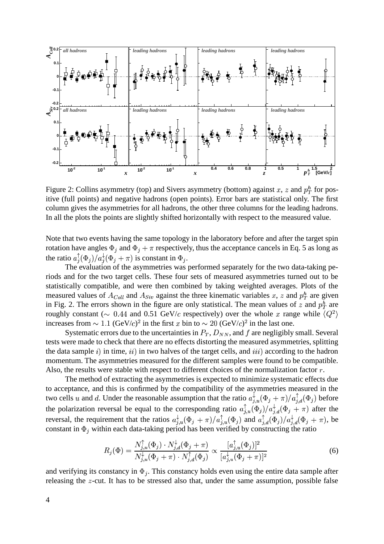

Figure 2: Collins asymmetry (top) and Sivers asymmetry (bottom) against x, z and  $p_T^h$  for positive (full points) and negative hadrons (open points). Error bars are statistical only. The first column gives the asymmetries for all hadrons, the other three columns for the leading hadrons. In all the plots the points are slightly shifted horizontally with respect to the measured value.

Note that two events having the same topology in the laboratory before and after the target spin rotation have angles  $\Phi_j$  and  $\Phi_j + \pi$  respectively, thus the acceptance cancels in Eq. 5 as long as the ratio  $a_j^{\dagger}(\Phi_j)/a_j^{\dagger}(\Phi_j + \pi)$  is constant in  $\Phi_j$ .

The evaluation of the asymmetries was performed separately for the two data-taking periods and for the two target cells. These four sets of measured asymmetries turned out to be statistically compatible, and were then combined by taking weighted averages. Plots of the measured values of  $A_{Coll}$  and  $A_{Siv}$  against the three kinematic variables x, z and  $p_T^h$  are given in Fig. 2. The errors shown in the figure are only statistical. The mean values of z and  $p_T^h$  are roughly constant ( $\sim 0.44$  and 0.51 GeV/c respectively) over the whole x range while  $\langle Q^2 \rangle$ increases from  $\sim 1.1 \, (\text{GeV}/c)^2$  in the first x bin to  $\sim 20 \, (\text{GeV}/c)^2$  in the last one.

Systematic errors due to the uncertainties in  $P_T$ ,  $D_{NN}$ , and f are negligibly small. Several tests were made to check that there are no effects distorting the measured asymmetries, splitting the data sample  $i$ ) in time,  $ii$ ) in two halves of the target cells, and  $iii$ ) according to the hadron momentum. The asymmetries measured for the different samples were found to be compatible. Also, the results were stable with respect to different choices of the normalization factor  $r$ .

The method of extracting the asymmetries is expected to minimize systematic effects due to acceptance, and this is confirmed by the compatibility of the asymmetries measured in the two cells u and d. Under the reasonable assumption that the ratio  $a_{i,u}^{\dagger}(\Phi_j + \pi)/a_{i,d}^{\dagger}(\Phi_j)$  before the polarization reversal be equal to the corresponding ratio  $a_{i,u}^{\dagger}(\Phi_j)/a_{i,d}^{\dagger}(\Phi_j + \pi)$  after the reversal, the requirement that the ratios  $a_{i,u}^{\dagger}(\Phi_j + \pi) / a_{i,u}^{\dagger}(\Phi_j)$  and  $a_{i,d}^{\dagger}(\Phi_j) / a_{i,d}^{\dagger}(\Phi_j + \pi)$ , be constant in  $\Phi_j$  within each data-taking period has been verified by constructing the ratio

$$
R_j(\Phi) = \frac{N_{j,u}^{\uparrow}(\Phi_j) \cdot N_{j,d}^{\downarrow}(\Phi_j + \pi)}{N_{j,u}^{\downarrow}(\Phi_j + \pi) \cdot N_{j,d}^{\uparrow}(\Phi_j)} \propto \frac{[a_{j,u}^{\uparrow}(\Phi_j)]^2}{[a_{j,u}^{\downarrow}(\Phi_j + \pi)]^2}
$$
(6)

and verifying its constancy in  $\Phi_i$ . This constancy holds even using the entire data sample after releasing the  $z$ -cut. It has to be stressed also that, under the same assumption, possible false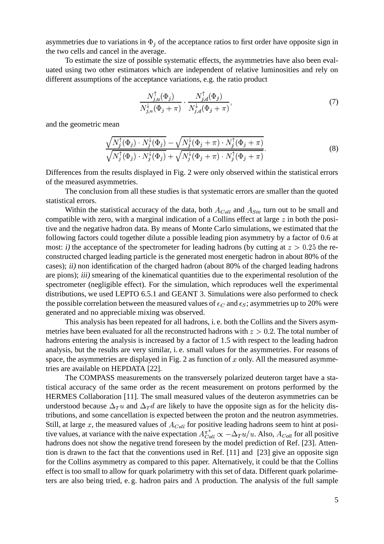asymmetries due to variations in  $\Phi_i$  of the acceptance ratios to first order have opposite sign in the two cells and cancel in the average.

To estimate the size of possible systematic effects, the asymmetries have also been evaluated using two other estimators which are independent of relative luminosities and rely on different assumptions of the acceptance variations, e.g. the ratio product

$$
\frac{N_{j,u}^{\uparrow}(\Phi_j)}{N_{j,u}^{\downarrow}(\Phi_j + \pi)} \cdot \frac{N_{j,d}^{\uparrow}(\Phi_j)}{N_{j,d}^{\downarrow}(\Phi_j + \pi)},\tag{7}
$$

and the geometric mean

$$
\frac{\sqrt{N_j^{\uparrow}(\Phi_j) \cdot N_j^{\downarrow}(\Phi_j)} - \sqrt{N_j^{\downarrow}(\Phi_j + \pi) \cdot N_j^{\uparrow}(\Phi_j + \pi)}}{\sqrt{N_j^{\uparrow}(\Phi_j) \cdot N_j^{\downarrow}(\Phi_j)} + \sqrt{N_j^{\downarrow}(\Phi_j + \pi) \cdot N_j^{\uparrow}(\Phi_j + \pi)}}.
$$
\n(8)

Differences from the results displayed in Fig. 2 were only observed within the statistical errors of the measured asymmetries.

The conclusion from all these studies is that systematic errors are smaller than the quoted statistical errors.

Within the statistical accuracy of the data, both  $A_{Coll}$  and  $A_{Siv}$  turn out to be small and compatible with zero, with a marginal indication of a Collins effect at large  $z$  in both the positive and the negative hadron data. By means of Monte Carlo simulations, we estimated that the following factors could together dilute a possible leading pion asymmetry by a factor of 0.6 at most: i) the acceptance of the spectrometer for leading hadrons (by cutting at  $z > 0.25$  the reconstructed charged leading particle is the generated most energetic hadron in about 80% of the cases); ii) non identification of the charged hadron (about 80% of the charged leading hadrons are pions); iii) smearing of the kinematical quantities due to the experimental resolution of the spectrometer (negligible effect). For the simulation, which reproduces well the experimental distributions, we used LEPTO 6.5.1 and GEANT 3. Simulations were also performed to check the possible correlation between the measured values of  $\epsilon_C$  and  $\epsilon_S$ ; asymmetries up to 20% were generated and no appreciable mixing was observed.

This analysis has been repeated for all hadrons, i. e. both the Collins and the Sivers asymmetries have been evaluated for all the reconstructed hadrons with  $z > 0.2$ . The total number of hadrons entering the analysis is increased by a factor of 1.5 with respect to the leading hadron analysis, but the results are very similar, i. e. small values for the asymmetries. For reasons of space, the asymmetries are displayed in Fig. 2 as function of  $x$  only. All the measured asymmetries are available on HEPDATA [22].

The COMPASS measurements on the transversely polarized deuteron target have a statistical accuracy of the same order as the recent measurement on protons performed by the HERMES Collaboration [11]. The small measured values of the deuteron asymmetries can be understood because  $\Delta_T u$  and  $\Delta_T d$  are likely to have the opposite sign as for the helicity distributions, and some cancellation is expected between the proton and the neutron asymmetries. Still, at large x, the measured values of  $A_{Coll}$  for positive leading hadrons seem to hint at positive values, at variance with the naive expectation  $A_{Coll}^{\pi^+}\propto -\Delta_T u/u$ . Also,  $A_{Coll}$  for all positive hadrons does not show the negative trend foreseen by the model prediction of Ref. [23]. Attention is drawn to the fact that the conventions used in Ref. [11] and [23] give an opposite sign for the Collins asymmetry as compared to this paper. Alternatively, it could be that the Collins effect is too small to allow for quark polarimetry with this set of data. Different quark polarimeters are also being tried, e.g. hadron pairs and  $\Lambda$  production. The analysis of the full sample